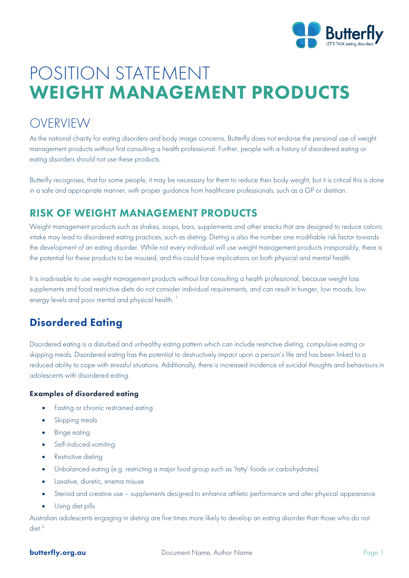

# POSITION STATEMENT WEIGHT MANAGEMENT PRODUCTS

## OVERVIEW

As the national charity for eating disorders and body image concerns, Butterfly does not endorse the personal use of weight management products without first consulting a health professional. Further, people with a history of disordered eating or eating disorders should not use these products.

Butterfly recognises, that for some people, it may be necessary for them to reduce their body weight, but it is critical this is done in a safe and appropriate manner, with proper guidance from healthcare professionals, such as a GP or dietitian.

### RISK OF WEIGHT MANAGEMENT PRODUCTS

Weight management products such as shakes, soups, bars, supplements and other snacks that are designed to reduce caloric intake may lead to disordered eating practices, such as dieting. Dieting is also the number one modifiable risk factor towards the development of an eating disorder. While not every individual will use weight management products irresponsibly, there is the potential for these products to be misused, and this could have implications on both physical and mental health.

It is inadvisable to use weight management products without first consulting a health professional, because weight loss supplements and food restrictive diets do not consider individual requirements, and can result in hunger, low moods, low energy levels and poor mental and physical health.<sup>[1](#page-3-0)</sup>

### Disordered Eating

Disordered eating is a disturbed and unhealthy eating pattern which can include restrictive dieting, compulsive eating or skipping meals. Disordered eating has the potential to destructively impact upon a person's life and has been linked to a reduced ability to cope with stressful situations. Additionally, there is increased incidence of suicidal thoughts and behaviours in adolescents with disordered eating.

### Examples of disordered eating

- Fasting or chronic restrained eating
- Skipping meals
- Binge eating
- Self-induced vomiting
- Restrictive dieting
- Unbalanced eating (e.g. restricting a major food group such as 'fatty' foods or carbohydrates)
- Laxative, diuretic, enema misuse
- Steroid and creatine use supplements designed to enhance athletic performance and alter physical appearance
- Using diet pills

Australian adolescents engaging in dieting are five times more likely to develop an eating disorder than those who do not diet.<sup>[2](#page-3-1)</sup>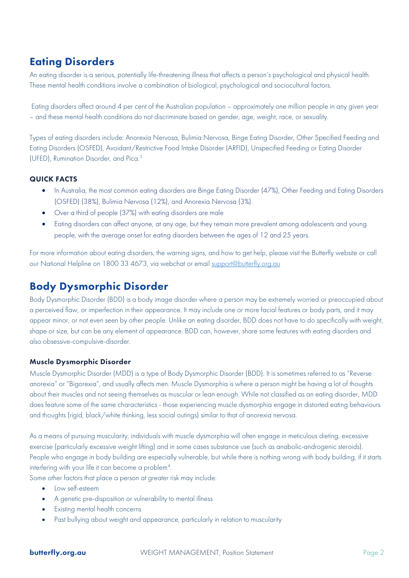### Eating Disorders

An eating disorder is a serious, potentially life-threatening illness that affects a person's psychological and physical health. These mental health conditions involve a combination of biological, psychological and sociocultural factors.

Eating disorders affect around 4 per cent of the Australian population – approximately one million people in any given year – and these mental health conditions do not discriminate based on gender, age, weight, race, or sexuality.

Types of eating disorders include: Anorexia Nervosa, Bulimia Nervosa, Binge Eating Disorder, Other Specified Feeding and Eating Disorders (OSFED), Avoidant/Restrictive Food Intake Disorder (ARFID), Unspecified Feeding or Eating Disorder (UFED), Rumination Disorder, and Pica.[3](#page-3-2)

#### QUICK FACTS

- In Australia, the most common eating disorders are Binge Eating Disorder (47%), Other Feeding and Eating Disorders (OSFED) (38%), Bulimia Nervosa (12%), and Anorexia Nervosa (3%).
- Over a third of people (37%) with eating disorders are male
- Eating disorders can affect anyone, at any age, but they remain more prevalent among adolescents and young people, with the average onset for eating disorders between the ages of 12 and 25 years.

For more information about eating disorders, the warning signs, and how to get help, please visit the Butterfly website or call our National Helpline on 1800 33 4673, via webchat or email [support@butterfly.org.au](mailto:support@butterfly.org.au)

### Body Dysmorphic Disorder

Body Dysmorphic Disorder (BDD) is a body image disorder where a person may be extremely worried or preoccupied about a perceived flaw, or imperfection in their appearance. It may include one or more facial features or body parts, and it may appear minor, or not even seen by other people. Unlike an eating disorder, BDD does not have to do specifically with weight, shape or size, but can be any element of appearance. BDD can, however, share some features with eating disorders and also obsessive-compulsive-disorder.

#### Muscle Dysmorphic Disorder

Muscle Dysmorphic Disorder (MDD) is a type of Body Dysmorphic Disorder (BDD). It is sometimes referred to as "Reverse anorexia" or "Bigorexia", and usually affects men. Muscle Dysmorphia is where a person might be having a lot of thoughts about their muscles and not seeing themselves as muscular or lean enough. While not classified as an eating disorder, MDD does feature some of the same characteristics - those experiencing muscle dysmorphia engage in distorted eating behaviours and thoughts (rigid, black/white thinking, less social outings) similar to that of anorexia nervosa.

As a means of pursuing muscularity, individuals with muscle dysmorphia will often engage in meticulous dieting, excessive exercise (particularly excessive weight lifting) and in some cases substance use (such as anabolic-androgenic steroids). People who engage in body building are especially vulnerable, but while there is nothing wrong with body building, if it starts interfering with your life it can become a problem<sup>[4](#page-3-3)</sup>.

Some other factors that place a person at greater risk may include:

- Low self-esteem
- A genetic pre-disposition or vulnerability to mental illness
- Existing mental health concerns
- Past bullying about weight and appearance, particularly in relation to muscularity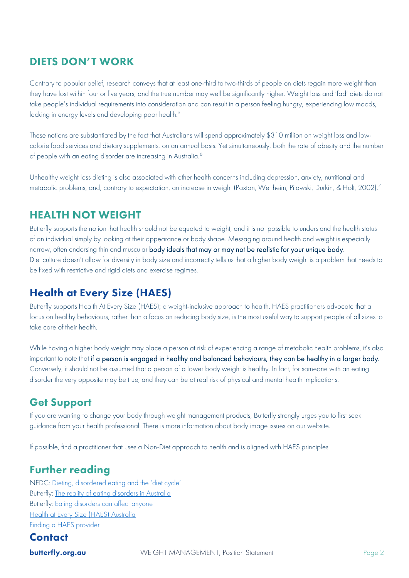### DIETS DON'T WORK

Contrary to popular belief, research conveys that at least one-third to two-thirds of people on diets regain more weight than they have lost within four or five years, and the true number may well be significantly higher. Weight loss and 'fad' diets do not take people's individual requirements into consideration and can result in a person feeling hungry, experiencing low moods, lacking in energy levels and developing poor health.<sup>[5](#page-3-4)</sup>

These notions are substantiated by the fact that Australians will spend approximately \$310 million on weight loss and lowcalorie food services and dietary supplements, on an annual basis. Yet simultaneously, both the rate of obesity and the number of people with an eating disorder are increasing in Australia.<sup>[6](#page-3-5)</sup>

Unhealthy weight loss dieting is also associated with other health concerns including depression, anxiety, nutritional and metabolic problems, and, contrary to expectation, an increase in weight (Paxton, Wertheim, Pilawski, Durkin, & Holt, 2002).<sup>[7](#page-3-6)</sup>

### HEALTH NOT WEIGHT

Butterfly supports the notion that health should not be equated to weight, and it is not possible to understand the health status of an individual simply by looking at their appearance or body shape. Messaging around health and weight is especially narrow, often endorsing thin and muscular body ideals that may or may not be realistic for your unique body. Diet culture doesn't allow for diversity in body size and incorrectly tells us that a higher body weight is a problem that needs to be fixed with restrictive and rigid diets and exercise regimes.

### Health at Every Size (HAES)

Butterfly supports Health At Every Size (HAES); a weight-inclusive approach to health. HAES practitioners advocate that a focus on healthy behaviours, rather than a focus on reducing body size, is the most useful way to support people of all sizes to take care of their health.

While having a higher body weight may place a person at risk of experiencing a range of metabolic health problems, it's also important to note that if a person is engaged in healthy and balanced behaviours, they can be healthy in a larger body. Conversely, it should not be assumed that a person of a lower body weight is healthy. In fact, for someone with an eating disorder the very opposite may be true, and they can be at real risk of physical and mental health implications.

### Get Support

If you are wanting to change your body through weight management products, Butterfly strongly urges you to first seek guidance from your health professional. There is more information about body image issues on our website.

If possible, find a practitioner that uses a Non-Diet approach to health and is aligned with HAES principles.

### Further reading

NEDC: [Dieting, disordered eating and the 'diet cycle'](https://nedc.com.au/eating-disorders/eating-disorders-explained/disordered-eating-and-dieting/)  Butterfly: [The reality of eating disorders in Australia](https://butterfly.org.au/wp-content/uploads/2020/12/The-reality-of-eating-disorders-in-Australia-2020.pdf) Butterfly: [Eating disorders can affect anyone](https://butterfly.org.au/wp-content/uploads/2020/10/Eating-disorders-can-affect-anyone_2020.pdf) [Health at Every Size \(HAES\) Australia](https://haesaustraliainc.wildapricot.org/) [Finding a HAES provider](https://haesaustraliainc.wildapricot.org/find-a-provider)

### **Contact**